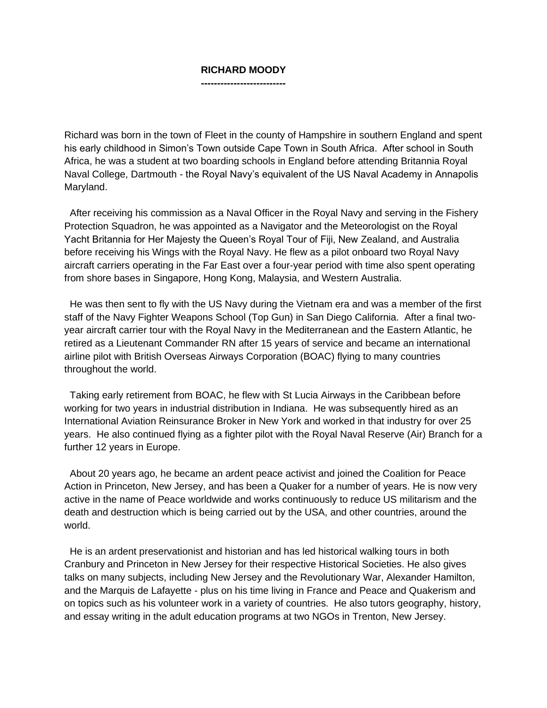## **RICHARD MOODY --------------------------**

Richard was born in the town of Fleet in the county of Hampshire in southern England and spent his early childhood in Simon's Town outside Cape Town in South Africa. After school in South Africa, he was a student at two boarding schools in England before attending Britannia Royal Naval College, Dartmouth - the Royal Navy's equivalent of the US Naval Academy in Annapolis Maryland.

 After receiving his commission as a Naval Officer in the Royal Navy and serving in the Fishery Protection Squadron, he was appointed as a Navigator and the Meteorologist on the Royal Yacht Britannia for Her Majesty the Queen's Royal Tour of Fiji, New Zealand, and Australia before receiving his Wings with the Royal Navy. He flew as a pilot onboard two Royal Navy aircraft carriers operating in the Far East over a four-year period with time also spent operating from shore bases in Singapore, Hong Kong, Malaysia, and Western Australia.

 He was then sent to fly with the US Navy during the Vietnam era and was a member of the first staff of the Navy Fighter Weapons School (Top Gun) in San Diego California. After a final twoyear aircraft carrier tour with the Royal Navy in the Mediterranean and the Eastern Atlantic, he retired as a Lieutenant Commander RN after 15 years of service and became an international airline pilot with British Overseas Airways Corporation (BOAC) flying to many countries throughout the world.

 Taking early retirement from BOAC, he flew with St Lucia Airways in the Caribbean before working for two years in industrial distribution in Indiana. He was subsequently hired as an International Aviation Reinsurance Broker in New York and worked in that industry for over 25 years. He also continued flying as a fighter pilot with the Royal Naval Reserve (Air) Branch for a further 12 years in Europe.

 About 20 years ago, he became an ardent peace activist and joined the Coalition for Peace Action in Princeton, New Jersey, and has been a Quaker for a number of years. He is now very active in the name of Peace worldwide and works continuously to reduce US militarism and the death and destruction which is being carried out by the USA, and other countries, around the world.

 He is an ardent preservationist and historian and has led historical walking tours in both Cranbury and Princeton in New Jersey for their respective Historical Societies. He also gives talks on many subjects, including New Jersey and the Revolutionary War, Alexander Hamilton, and the Marquis de Lafayette - plus on his time living in France and Peace and Quakerism and on topics such as his volunteer work in a variety of countries. He also tutors geography, history, and essay writing in the adult education programs at two NGOs in Trenton, New Jersey.